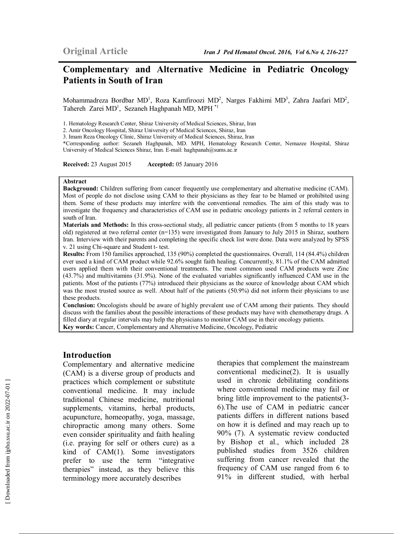# **Complementary and Alternative Medicine in Pediatric Oncology Patients in South of Iran**

Mohammadreza Bordbar MD<sup>1</sup>, Roza Kamfiroozi MD<sup>2</sup>, Narges Fakhimi MD<sup>3</sup>, Zahra Jaafari MD<sup>2</sup>, Tahereh Zarei MD<sup>1</sup>, Sezaneh Haghpanah MD, MPH<sup>\*1</sup>

1. Hematology Research Center, Shiraz University of Medical Sciences, Shiraz, Iran

2. Amir Oncology Hospital, Shiraz University of Medical Sciences, Shiraz, Iran

3. Imam Reza Oncology Clinic, Shiraz University of Medical Sciences, Shiraz, Iran

\*Corresponding author: Sezaneh Haghpanah, MD. MPH, Hematology Research Center, Nemazee Hospital, Shiraz University of Medical Sciences Shiraz, Iran. E-mail: haghpanah@sums.ac.ir

**Received:** 23 August 2015 **Accepted:** 05 January 2016

#### **Abstract**

**Background:** Children suffering from cancer frequently use complementary and alternative medicine (CAM). Most of people do not disclose using CAM to their physicians as they fear to be blamed or prohibited using them. Some of these products may interfere with the conventional remedies. The aim of this study was to investigate the frequency and characteristics of CAM use in pediatric oncology patients in 2 referral centers in south of Iran.

**Materials and Methods:** In this cross-sectional study, all pediatric cancer patients (from 5 months to 18 years old) registered at two referral center (n=135) were investigated from January to July 2015 in Shiraz, southern Iran. Interview with their parents and completing the specific check list were done. Data were analyzed by SPSS v. 21 using Chi-square and Student t- test.

**Results:** From 150 families approached, 135 (90%) completed the questionnaires. Overall, 114 (84.4%) children ever used a kind of CAM product while 92.6% sought faith healing. Concurrently, 81.1% of the CAM admitted users applied them with their conventional treatments. The most common used CAM products were Zinc (43.7%) and multivitamins (31.9%). None of the evaluated variables significantly influenced CAM use in the patients. Most of the patients (77%) introduced their physicians as the source of knowledge about CAM which was the most trusted source as well. About half of the patients (50.9%) did not inform their physicians to use these products.

**Conclusion:** Oncologists should be aware of highly prevalent use of CAM among their patients. They should discuss with the families about the possible interactions of these products may have with chemotherapy drugs. A filled diary at regular intervals may help the physicians to monitor CAM use in their oncology patients.

**Key words:** Cancer, Complementary and Alternative Medicine, Oncology, Pediatric

#### **Introduction**

Complementary and alternative medicine (CAM) is a diverse group of products and practices which complement or substitute conventional medicine. It may include traditional Chinese medicine, nutritional supplements, vitamins, herbal products, acupuncture, homeopathy, yoga, massage, chiropractic among many others. Some even consider spirituality and faith healing (i.e. praying for self or others cure) as a kind of CAM(1). Some investigators prefer to use the term "integrative therapies" instead, as they believe this terminology more accurately describes

therapies that complement the mainstream conventional medicine(2). It is usually used in chronic debilitating conditions where conventional medicine may fail or bring little improvement to the patients(3- 6).The use of CAM in pediatric cancer patients differs in different nations based on how it is defined and may reach up to 90% (7). A systematic review conducted by Bishop et al., which included 28 published studies from 3526 children suffering from cancer revealed that the frequency of CAM use ranged from 6 to 91% in different studied, with herbal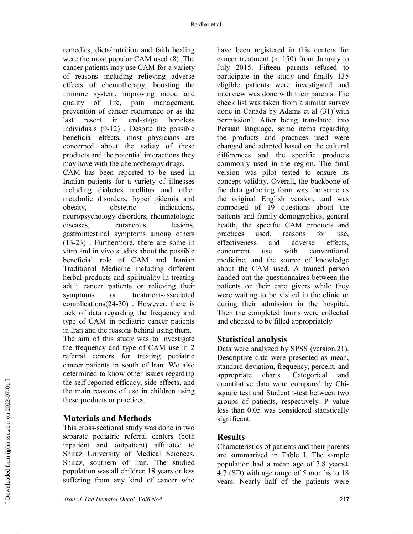remedies, diets/nutrition and faith healing were the most popular CAM used (8). The cancer patients may use CAM for a variety of reasons including relieving adverse effects of chemotherapy, boosting the immune system, improving mood and quality of life, pain management, prevention of cancer recurrence or as the last resort in end-stage hopeless individuals (9-12) . Despite the possible beneficial effects, most physicians are concerned about the safety of these products and the potential interactions they may have with the chemotherapy drugs.

CAM has been reported to be used in Iranian patients for a variety of illnesses including diabetes mellitus and other metabolic disorders, hyperlipidemia and obesity, obstetric indications, neuropsychology disorders, rheumatologic diseases, cutaneous lesions, gastrointestinal symptoms among others (13-23) . Furthermore, there are some in vitro and in vivo studies about the possible beneficial role of CAM and Iranian Traditional Medicine including different herbal products and spirituality in treating adult cancer patients or relieving their symptoms or treatment-associated complications(24-30) . However, there is lack of data regarding the frequency and type of CAM in pediatric cancer patients in Iran and the reasons behind using them.

The aim of this study was to investigate the frequency and type of CAM use in 2 referral centers for treating pediatric cancer patients in south of Iran. We also determined to know other issues regarding the self-reported efficacy, side effects, and the main reasons of use in children using these products or practices.

# **Materials and Methods**

This cross-sectional study was done in two separate pediatric referral centers (both inpatient and outpatient) affiliated to Shiraz University of Medical Sciences, Shiraz, southern of Iran. The studied population was all children 18 years or less suffering from any kind of cancer who

have been registered in this centers for cancer treatment (n=150) from January to July 2015. Fifteen parents refused to participate in the study and finally 135 eligible patients were investigated and interview was done with their parents. The check list was taken from a similar survey done in Canada by Adams et al (31)[with permission]. After being translated into Persian language, some items regarding the products and practices used were changed and adapted based on the cultural differences and the specific products commonly used in the region. The final version was pilot tested to ensure its concept validity. Overall, the backbone of the data gathering form was the same as the original English version, and was composed of 19 questions about the patients and family demographics, general health, the specific CAM products and practices used, reasons for use, effectiveness and adverse effects, concurrent use with conventional medicine, and the source of knowledge about the CAM used. A trained person handed out the questionnaires between the patients or their care givers while they were waiting to be visited in the clinic or during their admission in the hospital. Then the completed forms were collected and checked to be filled appropriately.

# **Statistical analysis**

Data were analyzed by SPSS (version.21). Descriptive data were presented as mean, standard deviation, frequency, percent, and appropriate charts. Categorical and quantitative data were compared by Chisquare test and Student t-test between two groups of patients, respectively. P value less than 0.05 was considered statistically significant.

## **Results**

Characteristics of patients and their parents are summarized in Table I. The sample population had a mean age of 7.8 years± 4.7 (SD) with age range of 5 months to 18 years. Nearly half of the patients were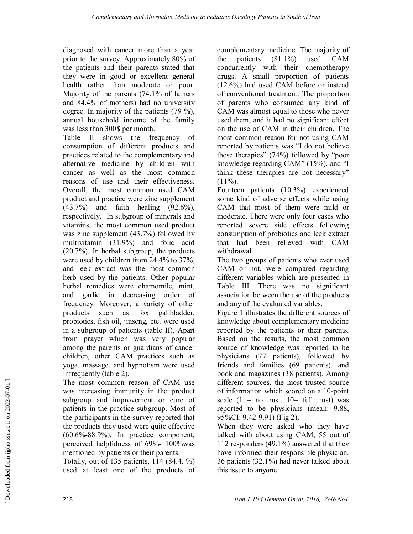diagnosed with cancer more than a year prior to the survey. Approximately 80% of the patients and their parents stated that they were in good or excellent general health rather than moderate or poor. Majority of the parents (74.1% of fathers and 84.4% of mothers) had no university degree. In majority of the patients (79 %), annual household income of the family was less than 300\$ per month.

Table II shows the frequency of consumption of different products and practices related to the complementary and alternative medicine by children with cancer as well as the most common reasons of use and their effectiveness. Overall, the most common used CAM product and practice were zinc supplement (43.7%) and faith healing (92.6%), respectively. In subgroup of minerals and vitamins, the most common used product was zinc supplement (43.7%) followed by multivitamin (31.9%) and folic acid (20.7%). In herbal subgroup, the products were used by children from 24.4% to 37%, and leek extract was the most common herb used by the patients. Other popular herbal remedies were chamomile, mint, and garlic in decreasing order of frequency. Moreover, a variety of other products such as fox gallbladder, probiotics, fish oil, jinseng, etc. were used in a subgroup of patients (table II). Apart from prayer which was very popular among the parents or guardians of cancer children, other CAM practices such as yoga, massage, and hypnotism were used infrequently (table 2).

The most common reason of CAM use was increasing immunity in the product subgroup and improvement or cure of patients in the practice subgroup. Most of the participants in the survey reported that the products they used were quite effective (60.6%-88.9%). In practice component, perceived helpfulness of 69%- 100%was mentioned by patients or their parents.

Totally, out of 135 patients, 114 (84.4. %) used at least one of the products of complementary medicine. The majority of the patients  $(81.1\%)$  used CAM concurrently with their chemotherapy drugs. A small proportion of patients (12.6%) had used CAM before or instead of conventional treatment. The proportion of parents who consumed any kind of CAM was almost equal to those who never used them, and it had no significant effect on the use of CAM in their children. The most common reason for not using CAM reported by patients was "I do not believe these therapies" (74%) followed by "poor knowledge regarding CAM" (15%), and "I think these therapies are not necessary"  $(11\%)$ .

Fourteen patients (10.3%) experienced some kind of adverse effects while using CAM that most of them were mild or moderate. There were only four cases who reported severe side effects following consumption of probiotics and leek extract that had been relieved with CAM withdrawal.

The two groups of patients who ever used CAM or not, were compared regarding different variables which are presented in Table III. There was no significant association between the use of the products and any of the evaluated variables.

Figure 1 illustrates the different sources of knowledge about complementary medicine reported by the patients or their parents. Based on the results, the most common source of knowledge was reported to be physicians (77 patients), followed by friends and families (69 patients), and book and magazines (38 patients). Among different sources, the most trusted source of information which scored on a 10-point scale  $(1 = no$  trust,  $10 = full$  trust) was reported to be physicians (mean: 9.88, 95%CI: 9.42-9.91) (Fig 2).

When they were asked who they have talked with about using CAM, 55 out of 112 responders (49.1%) answered that they have informed their responsible physician. 36 patients (32.1%) had never talked about this issue to anyone.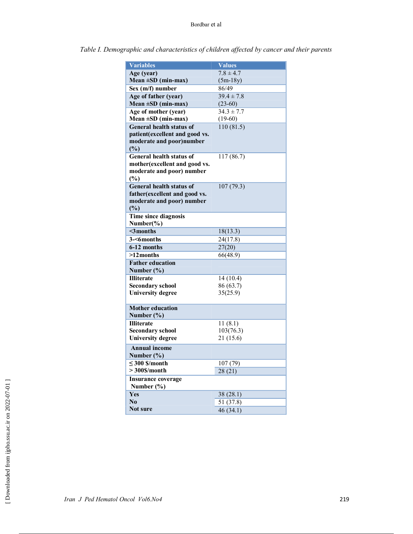| <b>Variables</b>                       | <b>Values</b>  |
|----------------------------------------|----------------|
| Age (year)                             | $7.8 \pm 4.7$  |
| Mean $\pm SD$ (min-max)                | $(5m-18y)$     |
| Sex (m/f) number                       | 86/49          |
| Age of father (year)                   | $39.4 \pm 7.8$ |
| Mean $\pm SD$ (min-max)                | $(23-60)$      |
| Age of mother (year)                   | $34.3 \pm 7.7$ |
| Mean $\pm SD$ (min-max)                | $(19-60)$      |
| <b>General health status of</b>        | 110(81.5)      |
| patient(excellent and good vs.         |                |
| moderate and poor)number               |                |
| (%)                                    |                |
| <b>General health status of</b>        | 117(86.7)      |
| mother (excellent and good vs.         |                |
| moderate and poor) number              |                |
| (%)                                    |                |
| General health status of               | 107(79.3)      |
| father (excellent and good vs.         |                |
| moderate and poor) number              |                |
| (%)                                    |                |
| Time since diagnosis                   |                |
| Number $(\% )$                         |                |
| $\mathbf$ 3 months                     | 18(13.3)       |
| 3-<6months                             | 24(17.8)       |
| 6-12 months                            | 27(20)         |
| $>12$ months                           | 66(48.9)       |
| <b>Father education</b>                |                |
| Number $(\% )$                         |                |
| <b>Illiterate</b>                      | 14(10.4)       |
| <b>Secondary school</b>                | 86 (63.7)      |
| <b>University degree</b>               | 35(25.9)       |
| <b>Mother education</b>                |                |
| Number $(\% )$                         |                |
| <b>Illiterate</b>                      | 11(8.1)        |
| <b>Secondary school</b>                | 103(76.3)      |
| <b>University degree</b>               | 21 (15.6)      |
| <b>Annual income</b>                   |                |
| Number $(\% )$                         |                |
|                                        |                |
| $\leq$ 300 \$/month<br>$>300$ \$/month | 107 (79)       |
|                                        | 28(21)         |
| <b>Insurance coverage</b>              |                |
| Number $(\% )$                         |                |
| Yes                                    | 38 (28.1)      |
| N <sub>0</sub>                         | 51 (37.8)      |
| Not sure                               | 46(34.1)       |

*Table I. Demographic and characteristics of children affected by cancer and their parents*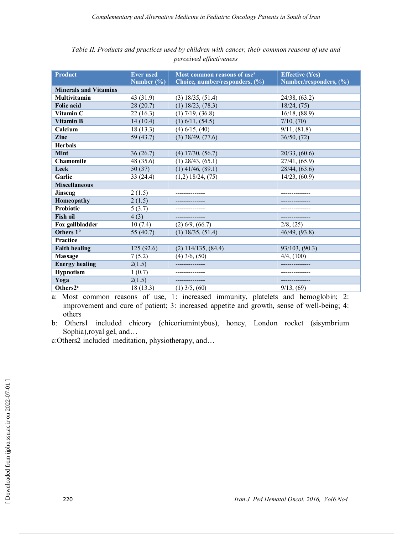| <b>Product</b>               | <b>Ever</b> used | Most common reasons of use <sup>a</sup> | <b>Effective (Yes)</b> |
|------------------------------|------------------|-----------------------------------------|------------------------|
|                              | Number $(\% )$   | Choice, number/responders, (%)          | Number/responders, (%) |
| <b>Minerals and Vitamins</b> |                  |                                         |                        |
| <b>Multivitamin</b>          | 43 (31.9)        | $(3)$ 18/35, $(51.4)$                   | 24/38, (63.2)          |
| <b>Folic acid</b>            | 28(20.7)         | $(1)$ 18/23, $(78.3)$                   | 18/24, (75)            |
| Vitamin C                    | 22(16.3)         | $(1)$ 7/19, $(36.8)$                    | 16/18, (88.9)          |
| <b>Vitamin B</b>             | 14(10.4)         | $(1)$ 6/11, $(54.5)$                    | 7/10, (70)             |
| Calcium                      | 18(13.3)         | $(4)$ 6/15, $(40)$                      | 9/11, (81.8)           |
| Zinc                         | 59(43.7)         | $(3)$ 38/49, $(77.6)$                   | 36/50, (72)            |
| <b>Herbals</b>               |                  |                                         |                        |
| <b>Mint</b>                  | 36(26.7)         | $(4)$ 17/30, $(56.7)$                   | 20/33, (60.6)          |
| <b>Chamomile</b>             | 48 (35.6)        | $(1)$ 28/43, $(65.1)$                   | 27/41, (65.9)          |
| Leek                         | 50(37)           | $(1)$ 41/46, (89.1)                     | 28/44, (63.6)          |
| Garlic                       | 33 (24.4)        | $(1,2)$ 18/24, $(75)$                   | 14/23, (60.9)          |
| <b>Miscellaneous</b>         |                  |                                         |                        |
| <b>Jinseng</b>               | 2(1.5)           |                                         |                        |
| Homeopathy                   | 2(1.5)           |                                         |                        |
| <b>Probiotic</b>             | 5(3.7)           |                                         |                        |
| <b>Fish oil</b>              | 4(3)             |                                         |                        |
| Fox gallbladder              | 10(7.4)          | $(2)$ 6/9, $(66.7)$                     | $2/8$ , $(25)$         |
| Others 1 <sup>b</sup>        | 55 $(40.7)$      | $(1)$ 18/35, $(51.4)$                   | 46/49, (93.8)          |
| <b>Practice</b>              |                  |                                         |                        |
| <b>Faith healing</b>         | 125(92.6)        | $(2)$ 114/135, $(84.4)$                 | 93/103, (90.3)         |
| Massage                      | 7(5.2)           | $(4)$ 3/6, $(50)$                       | $4/4$ , $(100)$        |
| <b>Energy healing</b>        | 2(1.5)           |                                         |                        |
| <b>Hypnotism</b>             | 1(0.7)           |                                         |                        |
| Yoga                         | 2(1.5)           |                                         |                        |
| Others2 <sup>c</sup>         | 18(13.3)         | $(1)$ 3/5, $(60)$                       | 9/13, (69)             |

*Table II. Products and practices used by children with cancer, their common reasons of use and perceived effectiveness* 

a: Most common reasons of use, 1: increased immunity, platelets and hemoglobin; 2: improvement and cure of patient; 3: increased appetite and growth, sense of well-being; 4: others

b: Others1 included chicory (chicoriumintybus), honey, London rocket (sisymbrium Sophia),royal gel, and…

c:Others2 included meditation, physiotherapy, and…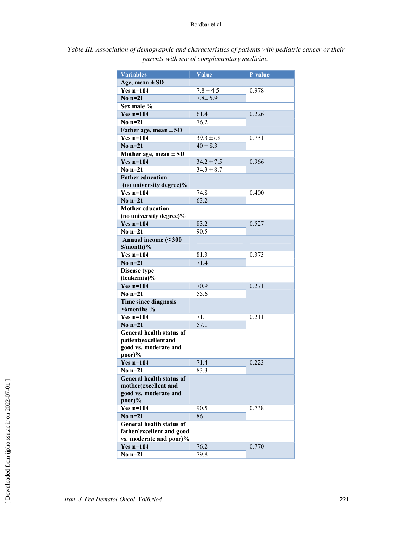| <b>Variables</b>                                      | Value          | P value |  |
|-------------------------------------------------------|----------------|---------|--|
| Age, mean $\pm$ SD                                    |                |         |  |
| $Yes n=114$                                           | $7.8 \pm 4.5$  | 0.978   |  |
| No $n=21$                                             | $7.8 \pm 5.9$  |         |  |
| Sex male %                                            |                |         |  |
| $Yes n=114$                                           | 61.4           | 0.226   |  |
| No $n=21$                                             | 76.2           |         |  |
| Father age, mean $\pm$ SD                             |                |         |  |
| $Yes n=114$                                           | $39.3 \pm 7.8$ | 0.731   |  |
| No $n=21$                                             | $40 \pm 8.3$   |         |  |
| Mother age, mean $\pm$ SD                             |                |         |  |
| $Yes n=114$                                           | $34.2 \pm 7.5$ | 0.966   |  |
| No $n=21$                                             | $34.3 \pm 8.7$ |         |  |
| <b>Father education</b>                               |                |         |  |
| (no university degree)%                               |                |         |  |
| $Yes n=114$                                           | 74.8           | 0.400   |  |
| No $n=21$                                             | 63.2           |         |  |
| <b>Mother education</b>                               |                |         |  |
| (no university degree)%                               |                |         |  |
| $Yes n=114$                                           | 83.2           | 0.527   |  |
| No $n=21$                                             | 90.5           |         |  |
| Annual income $(\leq 300$                             |                |         |  |
| $\mathcal{S}/\text{month}$ )%                         |                |         |  |
| $Yes n=114$                                           | 81.3           | 0.373   |  |
| No $n=21$                                             | 71.4           |         |  |
| <b>Disease type</b>                                   |                |         |  |
| (leukemia)%<br>$Yes n=114$                            | 70.9           | 0.271   |  |
| No $n=21$                                             | 55.6           |         |  |
| <b>Time since diagnosis</b>                           |                |         |  |
| $>6$ months %                                         |                |         |  |
| $Yes n=114$                                           | 71.1           | 0.211   |  |
| No $n=21$                                             | 57.1           |         |  |
| <b>General health status of</b>                       |                |         |  |
| patient(excellentand                                  |                |         |  |
| good vs. moderate and                                 |                |         |  |
| poor)%                                                |                |         |  |
| $Yes n=114$                                           | 71.4           | 0.223   |  |
| No $n=21$                                             | 83.3           |         |  |
| <b>General health status of</b>                       |                |         |  |
| mother(excellent and                                  |                |         |  |
| good vs. moderate and                                 |                |         |  |
| $poor$ )%                                             |                |         |  |
| $Yes n=114$                                           | 90.5           | 0.738   |  |
| No $n=21$                                             | 86             |         |  |
| General health status of                              |                |         |  |
| father (excellent and good<br>vs. moderate and poor)% |                |         |  |
| $Yes n=114$                                           | 76.2           | 0.770   |  |
| $\overline{\text{No n=21}}$                           | 79.8           |         |  |
|                                                       |                |         |  |

*Table III. Association of demographic and characteristics of patients with pediatric cancer or their parents with use of complementary medicine.*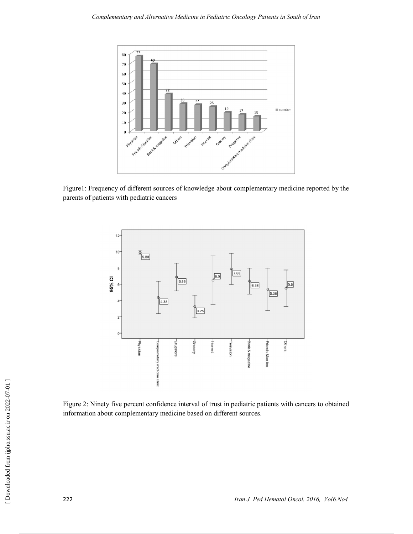

Figure1: Frequency of different sources of knowledge about complementary medicine reported by the parents of patients with pediatric cancers



Figure 2: Ninety five percent confidence interval of trust in pediatric patients with cancers to obtained information about complementary medicine based on different sources.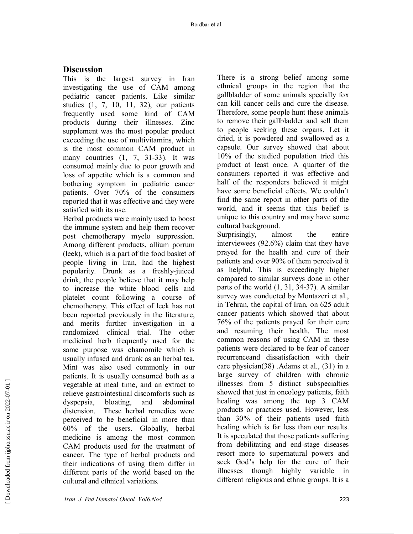# **Discussion**

This is the largest survey in Iran investigating the use of CAM among pediatric cancer patients. Like similar studies (1, 7, 10, 11, 32), our patients frequently used some kind of CAM products during their illnesses. Zinc supplement was the most popular product exceeding the use of multivitamins, which is the most common CAM product in many countries  $(1, 7, 31-33)$ . It was consumed mainly due to poor growth and loss of appetite which is a common and bothering symptom in pediatric cancer patients. Over 70% of the consumers reported that it was effective and they were satisfied with its use.

Herbal products were mainly used to boost the immune system and help them recover post chemotherapy myelo suppression. Among different products, allium porrum (leek), which is a part of the food basket of people living in Iran, had the highest popularity. Drunk as a freshly-juiced drink, the people believe that it may help to increase the white blood cells and platelet count following a course of chemotherapy. This effect of leek has not been reported previously in the literature, and merits further investigation in a randomized clinical trial. The other medicinal herb frequently used for the same purpose was chamomile which is usually infused and drunk as an herbal tea. Mint was also used commonly in our patients. It is usually consumed both as a vegetable at meal time, and an extract to relieve gastrointestinal discomforts such as dyspepsia, bloating, and abdominal distension. These herbal remedies were perceived to be beneficial in more than 60% of the users. Globally, herbal medicine is among the most common CAM products used for the treatment of cancer. The type of herbal products and their indications of using them differ in different parts of the world based on the cultural and ethnical variations.

There is a strong belief among some ethnical groups in the region that the gallbladder of some animals specially fox can kill cancer cells and cure the disease. Therefore, some people hunt these animals to remove their gallbladder and sell them to people seeking these organs. Let it dried, it is powdered and swallowed as a capsule. Our survey showed that about 10% of the studied population tried this product at least once. A quarter of the consumers reported it was effective and half of the responders believed it might have some beneficial effects. We couldn't find the same report in other parts of the world, and it seems that this belief is unique to this country and may have some cultural background.

Surprisingly, almost the entire interviewees (92.6%) claim that they have prayed for the health and cure of their patients and over 90% of them perceived it as helpful. This is exceedingly higher compared to similar surveys done in other parts of the world (1, 31, 34-37). A similar survey was conducted by Montazeri et al., in Tehran, the capital of Iran, on 625 adult cancer patients which showed that about 76% of the patients prayed for their cure and resuming their health. The most common reasons of using CAM in these patients were declared to be fear of cancer recurrenceand dissatisfaction with their care physician(38) .Adams et al., (31) in a large survey of children with chronic illnesses from 5 distinct subspecialties showed that just in oncology patients, faith healing was among the top 3 CAM products or practices used. However, less than 30% of their patients used faith healing which is far less than our results. It is speculated that those patients suffering from debilitating and end-stage diseases resort more to supernatural powers and seek God's help for the cure of their illnesses though highly variable in different religious and ethnic groups. It is a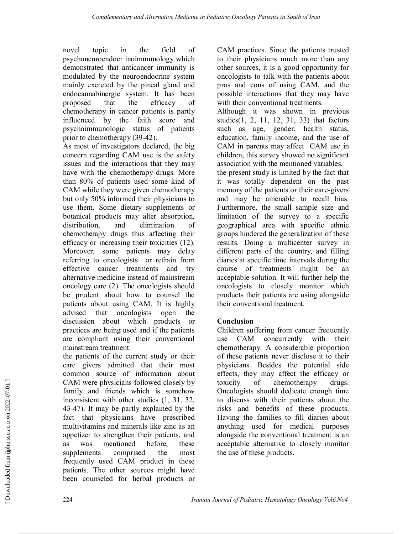novel topic in the field of psychoneuroendocr inoimmunology which demonstrated that anticancer immunity is modulated by the neuroendocrine system mainly excreted by the pineal gland and endocannabinergic system. It has been proposed that the efficacy of chemotherapy in cancer patients is partly influenced by the faith score and psychoimmunologic status of patients prior to chemotherapy (39-42).

As most of investigators declared, the big concern regarding CAM use is the safety issues and the interactions that they may have with the chemotherapy drugs. More than 80% of patients used some kind of CAM while they were given chemotherapy but only 50% informed their physicians to use them. Some dietary supplements or botanical products may alter absorption, distribution, and elimination of chemotherapy drugs thus affecting their efficacy or increasing their toxicities (12). Moreover, some patients may delay referring to oncologists or refrain from effective cancer treatments and try alternative medicine instead of mainstream oncology care (2). The oncologists should be prudent about how to counsel the patients about using CAM. It is highly advised that oncologists open the discussion about which products or practices are being used and if the patients are compliant using their conventional mainstream treatment.

the patients of the current study or their care givers admitted that their most common source of information about CAM were physicians followed closely by family and friends which is somehow inconsistent with other studies (1, 31, 32, 43-47). It may be partly explained by the fact that physicians have prescribed multivitamins and minerals like zinc as an appetizer to strengthen their patients, and as was mentioned before, these supplements comprised the most frequently used CAM product in these patients. The other sources might have been counseled for herbal products or

CAM practices. Since the patients trusted to their physicians much more than any other sources, it is a good opportunity for oncologists to talk with the patients about pros and cons of using CAM, and the possible interactions that they may have with their conventional treatments.

Although it was shown in previous studies(1, 2, 11, 12, 31, 33) that factors such as age, gender, health status, education, family income, and the use of CAM in parents may affect CAM use in children, this survey showed no significant association with the mentioned variables.

the present study is limited by the fact that it was totally dependent on the past memory of the patients or their care-givers and may be amenable to recall bias. Furthermore, the small sample size and limitation of the survey to a specific geographical area with specific ethnic groups hindered the generalization of these results. Doing a multicenter survey in different parts of the country, and filling diaries at specific time intervals during the course of treatments might be an acceptable solution. It will further help the oncologists to closely monitor which products their patients are using alongside their conventional treatment.

# **Conclusion**

Children suffering from cancer frequently use CAM concurrently with their chemotherapy. A considerable proportion of these patients never disclose it to their physicians. Besides the potential side effects, they may affect the efficacy or toxicity of chemotherapy drugs. Oncologists should dedicate enough time to discuss with their patients about the risks and benefits of these products. Having the families to fill diaries about anything used for medical purposes alongside the conventional treatment is an acceptable alternative to closely monitor the use of these products.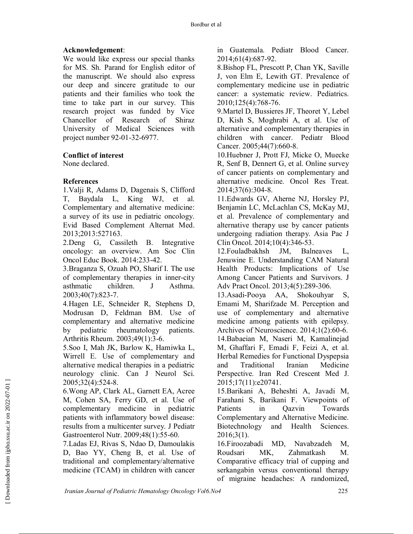## **Acknowledgement**:

We would like express our special thanks for MS. Sh. Parand for English editor of the manuscript. We should also express our deep and sincere gratitude to our patients and their families who took the time to take part in our survey. This research project was funded by Vice Chancellor of Research of Shiraz University of Medical Sciences with project number 92-01-32-6977.

### **Conflict of interest**

None declared.

### **References**

1.Valji R, Adams D, Dagenais S, Clifford T, Baydala L, King WJ, et al. Complementary and alternative medicine: a survey of its use in pediatric oncology. Evid Based Complement Alternat Med. 2013;2013:527163.

2.Deng G, Cassileth B. Integrative oncology: an overview. Am Soc Clin Oncol Educ Book. 2014:233-42.

3.Braganza S, Ozuah PO, Sharif I. The use of complementary therapies in inner-city asthmatic children. J Asthma. 2003;40(7):823-7.

4.Hagen LE, Schneider R, Stephens D, Modrusan D, Feldman BM. Use of complementary and alternative medicine by pediatric rheumatology patients. Arthritis Rheum. 2003;49(1):3-6.

5.Soo I, Mah JK, Barlow K, Hamiwka L, Wirrell E. Use of complementary and alternative medical therapies in a pediatric neurology clinic. Can J Neurol Sci. 2005;32(4):524-8.

6.Wong AP, Clark AL, Garnett EA, Acree M, Cohen SA, Ferry GD, et al. Use of complementary medicine in pediatric patients with inflammatory bowel disease: results from a multicenter survey. J Pediatr Gastroenterol Nutr. 2009;48(1):55-60.

7.Ladas EJ, Rivas S, Ndao D, Damoulakis D, Bao YY, Cheng B, et al. Use of traditional and complementary/alternative medicine (TCAM) in children with cancer

in Guatemala. Pediatr Blood Cancer. 2014;61(4):687-92.

8.Bishop FL, Prescott P, Chan YK, Saville J, von Elm E, Lewith GT. Prevalence of complementary medicine use in pediatric cancer: a systematic review. Pediatrics. 2010;125(4):768-76.

9.Martel D, Bussieres JF, Theoret Y, Lebel D, Kish S, Moghrabi A, et al. Use of alternative and complementary therapies in children with cancer. Pediatr Blood Cancer. 2005;44(7):660-8.

10.Huebner J, Prott FJ, Micke O, Muecke R, Senf B, Dennert G, et al. Online survey of cancer patients on complementary and alternative medicine. Oncol Res Treat. 2014;37(6):304-8.

11.Edwards GV, Aherne NJ, Horsley PJ, Benjamin LC, McLachlan CS, McKay MJ, et al. Prevalence of complementary and alternative therapy use by cancer patients undergoing radiation therapy. Asia Pac J Clin Oncol. 2014;10(4):346-53.

12.Fouladbakhsh JM, Balneaves L, Jenuwine E. Understanding CAM Natural Health Products: Implications of Use Among Cancer Patients and Survivors. J Adv Pract Oncol. 2013;4(5):289-306.

13.Asadi-Pooya AA, Shokouhyar S, Emami M, Sharifzade M. Perception and use of complementary and alternative medicine among patients with epilepsy. Archives of Neuroscience. 2014;1(2):60-6. 14.Babaeian M, Naseri M, Kamalinejad M, Ghaffari F, Emadi F, Feizi A, et al. Herbal Remedies for Functional Dyspepsia and Traditional Iranian Medicine Perspective. Iran Red Crescent Med J. 2015;17(11):e20741.

15.Barikani A, Beheshti A, Javadi M, Farahani S, Barikani F. Viewpoints of Patients in Qazvin Towards Complementary and Alternative Medicine. Biotechnology and Health Sciences. 2016;3(1).

16.Firoozabadi MD, Navabzadeh M, Roudsari MK, Zahmatkash M. Comparative efficacy trial of cupping and serkangabin versus conventional therapy of migraine headaches: A randomized,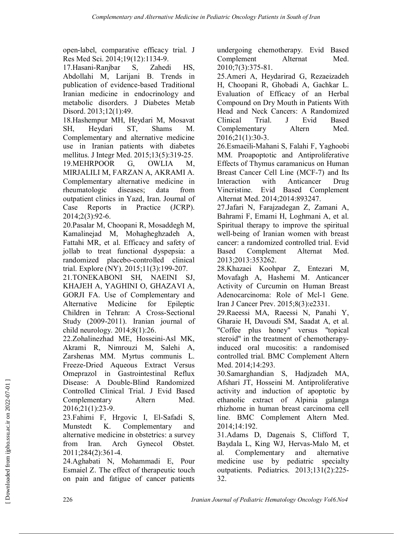open-label, comparative efficacy trial. J Res Med Sci. 2014;19(12):1134-9.

17.Hasani-Ranjbar S, Zahedi HS, Abdollahi M, Larijani B. Trends in publication of evidence-based Traditional Iranian medicine in endocrinology and metabolic disorders. J Diabetes Metab Disord. 2013;12(1):49.

18.Hashempur MH, Heydari M, Mosavat SH, Heydari ST, Shams M. Complementary and alternative medicine use in Iranian patients with diabetes mellitus. J Integr Med. 2015;13(5):319-25. 19.MEHRPOOR G, OWLIA M, MIRJALILI M, FARZAN A, AKRAMI A. Complementary alternative medicine in rheumatologic diseases; data from outpatient clinics in Yazd, Iran. Journal of Case Reports in Practice (JCRP). 2014;2(3):92-6.

20.Pasalar M, Choopani R, Mosaddegh M, Kamalinejad M, Mohagheghzadeh A, Fattahi MR, et al. Efficacy and safety of jollab to treat functional dyspepsia: a randomized placebo-controlled clinical trial. Explore (NY). 2015;11(3):199-207.

21.TONEKABONI SH, NAEINI SJ, KHAJEH A, YAGHINI O, GHAZAVI A, GORJI FA. Use of Complementary and Alternative Medicine for Epileptic Children in Tehran: A Cross-Sectional Study (2009-2011). Iranian journal of child neurology. 2014;8(1):26.

22.Zohalinezhad ME, Hosseini-Asl MK, Akrami R, Nimrouzi M, Salehi A, Zarshenas MM. Myrtus communis L. Freeze-Dried Aqueous Extract Versus Omeprazol in Gastrointestinal Reflux Disease: A Double-Blind Randomized Controlled Clinical Trial. J Evid Based Complementary Altern Med. 2016;21(1):23-9.

23.Fahimi F, Hrgovic I, El-Safadi S, Munstedt K. Complementary and alternative medicine in obstetrics: a survey from Iran. Arch Gynecol Obstet. 2011;284(2):361-4.

24.Aghabati N, Mohammadi E, Pour Esmaiel Z. The effect of therapeutic touch on pain and fatigue of cancer patients

undergoing chemotherapy. Evid Based Complement Alternat Med. 2010;7(3):375-81.

25.Ameri A, Heydarirad G, Rezaeizadeh H, Choopani R, Ghobadi A, Gachkar L. Evaluation of Efficacy of an Herbal Compound on Dry Mouth in Patients With Head and Neck Cancers: A Randomized Clinical Trial. J Evid Based Complementary Altern Med. 2016;21(1):30-3.

26.Esmaeili-Mahani S, Falahi F, Yaghoobi MM. Proapoptotic and Antiproliferative Effects of Thymus caramanicus on Human Breast Cancer Cell Line (MCF-7) and Its Interaction with Anticancer Drug Vincristine. Evid Based Complement Alternat Med. 2014;2014:893247.

27.Jafari N, Farajzadegan Z, Zamani A, Bahrami F, Emami H, Loghmani A, et al. Spiritual therapy to improve the spiritual well-being of Iranian women with breast cancer: a randomized controlled trial. Evid Based Complement Alternat Med. 2013;2013:353262.

28.Khazaei Koohpar Z, Entezari M, Movafagh A, Hashemi M. Anticancer Activity of Curcumin on Human Breast Adenocarcinoma: Role of Mcl-1 Gene. Iran J Cancer Prev. 2015;8(3):e2331.

29.Raeessi MA, Raeessi N, Panahi Y, Gharaie H, Davoudi SM, Saadat A, et al. "Coffee plus honey" versus "topical steroid" in the treatment of chemotherapyinduced oral mucositis: a randomised controlled trial. BMC Complement Altern Med. 2014;14:293.

30.Samarghandian S, Hadjzadeh MA, Afshari JT, Hosseini M. Antiproliferative activity and induction of apoptotic by ethanolic extract of Alpinia galanga rhizhome in human breast carcinoma cell line. BMC Complement Altern Med. 2014;14:192.

31.Adams D, Dagenais S, Clifford T, Baydala L, King WJ, Hervas-Malo M, et al. Complementary and alternative medicine use by pediatric specialty outpatients. Pediatrics. 2013;131(2):225- 32.